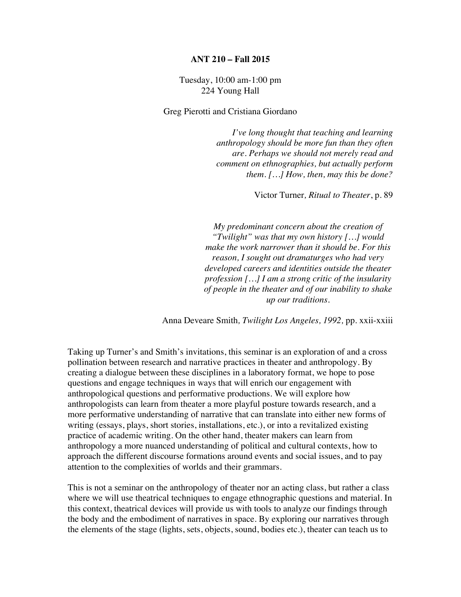## **ANT 210 – Fall 2015**

## Tuesday, 10:00 am-1:00 pm 224 Young Hall

Greg Pierotti and Cristiana Giordano

*I've long thought that teaching and learning anthropology should be more fun than they often are. Perhaps we should not merely read and comment on ethnographies, but actually perform them. […] How, then, may this be done?* 

Victor Turner*, Ritual to Theater*, p. 89

*My predominant concern about the creation of "Twilight" was that my own history […] would make the work narrower than it should be. For this reason, I sought out dramaturges who had very developed careers and identities outside the theater profession […] I am a strong critic of the insularity of people in the theater and of our inability to shake up our traditions.*

Anna Deveare Smith*, Twilight Los Angeles, 1992,* pp. xxii-xxiii

Taking up Turner's and Smith's invitations, this seminar is an exploration of and a cross pollination between research and narrative practices in theater and anthropology. By creating a dialogue between these disciplines in a laboratory format, we hope to pose questions and engage techniques in ways that will enrich our engagement with anthropological questions and performative productions. We will explore how anthropologists can learn from theater a more playful posture towards research, and a more performative understanding of narrative that can translate into either new forms of writing (essays, plays, short stories, installations, etc.), or into a revitalized existing practice of academic writing. On the other hand, theater makers can learn from anthropology a more nuanced understanding of political and cultural contexts, how to approach the different discourse formations around events and social issues, and to pay attention to the complexities of worlds and their grammars.

This is not a seminar on the anthropology of theater nor an acting class, but rather a class where we will use theatrical techniques to engage ethnographic questions and material. In this context, theatrical devices will provide us with tools to analyze our findings through the body and the embodiment of narratives in space. By exploring our narratives through the elements of the stage (lights, sets, objects, sound, bodies etc.), theater can teach us to